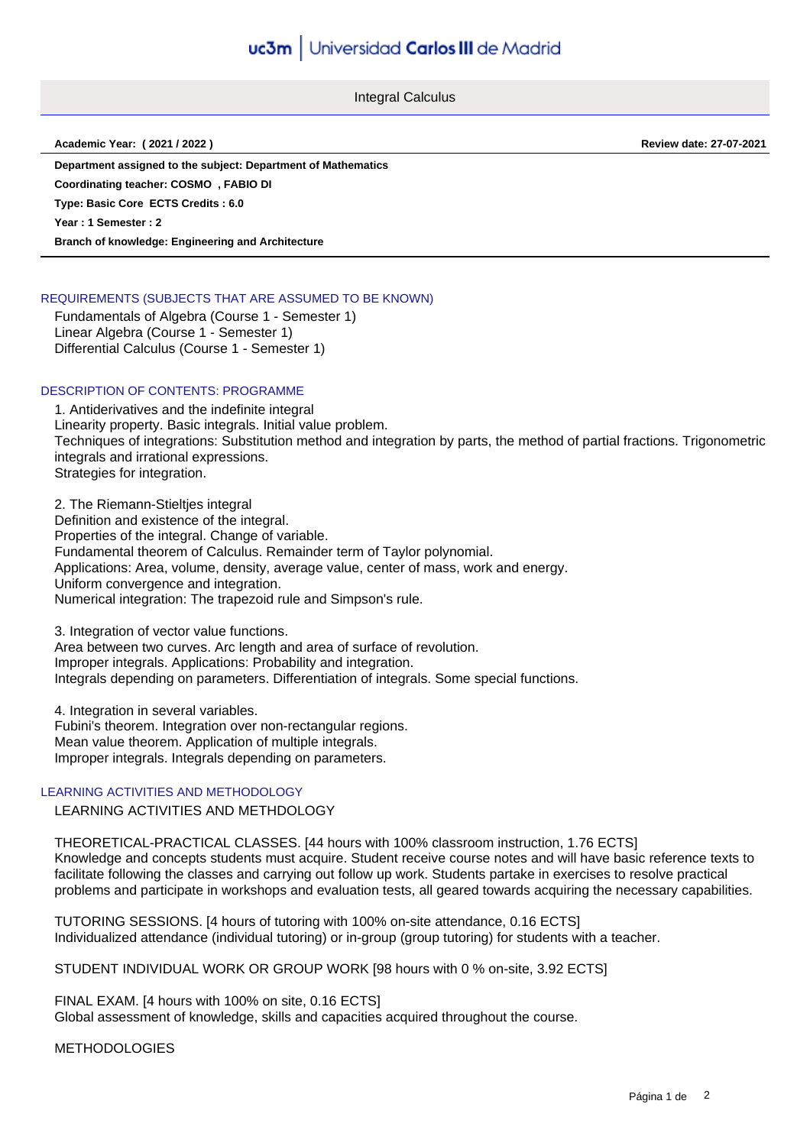Integral Calculus

**Academic Year: ( 2021 / 2022 ) Review date: 27-07-2021**

**Department assigned to the subject: Department of Mathematics**

**Coordinating teacher: COSMO , FABIO DI**

**Type: Basic Core ECTS Credits : 6.0**

**Year : 1 Semester : 2**

**Branch of knowledge: Engineering and Architecture**

REQUIREMENTS (SUBJECTS THAT ARE ASSUMED TO BE KNOWN)

Fundamentals of Algebra (Course 1 - Semester 1) Linear Algebra (Course 1 - Semester 1) Differential Calculus (Course 1 - Semester 1)

# DESCRIPTION OF CONTENTS: PROGRAMME

1. Antiderivatives and the indefinite integral Linearity property. Basic integrals. Initial value problem. Techniques of integrations: Substitution method and integration by parts, the method of partial fractions. Trigonometric integrals and irrational expressions. Strategies for integration.

2. The Riemann-Stieltjes integral Definition and existence of the integral. Properties of the integral. Change of variable. Fundamental theorem of Calculus. Remainder term of Taylor polynomial. Applications: Area, volume, density, average value, center of mass, work and energy. Uniform convergence and integration. Numerical integration: The trapezoid rule and Simpson's rule.

3. Integration of vector value functions. Area between two curves. Arc length and area of surface of revolution. Improper integrals. Applications: Probability and integration. Integrals depending on parameters. Differentiation of integrals. Some special functions.

4. Integration in several variables. Fubini's theorem. Integration over non-rectangular regions. Mean value theorem. Application of multiple integrals. Improper integrals. Integrals depending on parameters.

## LEARNING ACTIVITIES AND METHODOLOGY

LEARNING ACTIVITIES AND METHDOLOGY

THEORETICAL-PRACTICAL CLASSES. [44 hours with 100% classroom instruction, 1.76 ECTS] Knowledge and concepts students must acquire. Student receive course notes and will have basic reference texts to facilitate following the classes and carrying out follow up work. Students partake in exercises to resolve practical problems and participate in workshops and evaluation tests, all geared towards acquiring the necessary capabilities.

TUTORING SESSIONS. [4 hours of tutoring with 100% on-site attendance, 0.16 ECTS] Individualized attendance (individual tutoring) or in-group (group tutoring) for students with a teacher.

STUDENT INDIVIDUAL WORK OR GROUP WORK [98 hours with 0 % on-site, 3.92 ECTS]

FINAL EXAM. [4 hours with 100% on site, 0.16 ECTS] Global assessment of knowledge, skills and capacities acquired throughout the course.

METHODOLOGIES